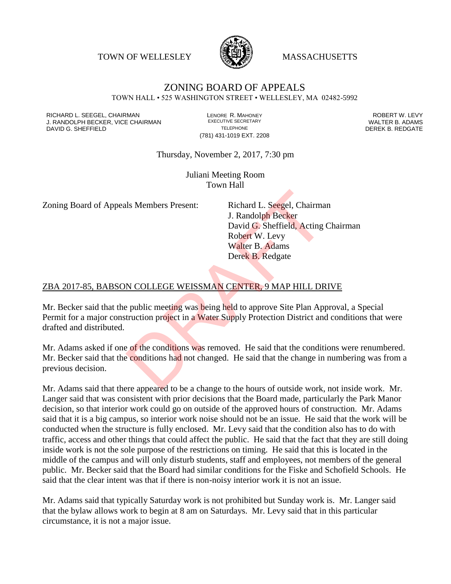TOWN OF WELLESLEY **WASSACHUSETTS** 



#### ZONING BOARD OF APPEALS TOWN HALL • 525 WASHINGTON STREET • WELLESLEY, MA 02482-5992

RICHARD L. SEEGEL, CHAIRMAN LENORE R. MAHONEY ROBERT W. LEVY J. RANDOLPH BECKER, VICE CHAIRMAN EXECUTIVE SECRETARY THE SANDOLPH BECKER B. ADAMS<br>DEREK B. REDGATE TELEPHONE THE THE THE SAND DEREK B. REDGATE

(781) 431-1019 EXT. 2208

DEREK B. REDGATE

Thursday, November 2, 2017, 7:30 pm

Juliani Meeting Room Town Hall

Zoning Board of Appeals Members Present: Richard L. Seegel, Chairman

J. Randolph Becker David G. Sheffield, Acting Chairman Robert W. Levy Walter B. Adams Derek B. Redgate

#### ZBA 2017-85, BABSON COLLEGE WEISSMAN CENTER, 9 MAP HILL DRIVE

Mr. Becker said that the public meeting was being held to approve Site Plan Approval, a Special Permit for a major construction project in a Water Supply Protection District and conditions that were drafted and distributed.

Mr. Adams asked if one of the conditions was removed. He said that the conditions were renumbered. Mr. Becker said that the conditions had not changed. He said that the change in numbering was from a previous decision. Is Members Present:<br>
I. Randolph Becker<br>
David G. Sheffield, Acting<br>
Robert W. Levy<br>
Walter B. Adams<br>
Derek B. Redgate<br>
N COLLEGE WEISSMAN CENTER, 9 MAP HILL DR<br>
Public meeting was being held to approve Site Plan App<br>
truc

Mr. Adams said that there appeared to be a change to the hours of outside work, not inside work. Mr. Langer said that was consistent with prior decisions that the Board made, particularly the Park Manor decision, so that interior work could go on outside of the approved hours of construction. Mr. Adams said that it is a big campus, so interior work noise should not be an issue. He said that the work will be conducted when the structure is fully enclosed. Mr. Levy said that the condition also has to do with traffic, access and other things that could affect the public. He said that the fact that they are still doing inside work is not the sole purpose of the restrictions on timing. He said that this is located in the middle of the campus and will only disturb students, staff and employees, not members of the general public. Mr. Becker said that the Board had similar conditions for the Fiske and Schofield Schools. He said that the clear intent was that if there is non-noisy interior work it is not an issue.

Mr. Adams said that typically Saturday work is not prohibited but Sunday work is. Mr. Langer said that the bylaw allows work to begin at 8 am on Saturdays. Mr. Levy said that in this particular circumstance, it is not a major issue.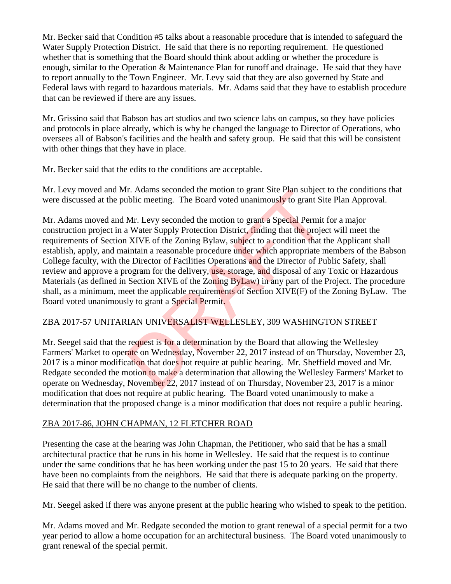Mr. Becker said that Condition #5 talks about a reasonable procedure that is intended to safeguard the Water Supply Protection District. He said that there is no reporting requirement. He questioned whether that is something that the Board should think about adding or whether the procedure is enough, similar to the Operation & Maintenance Plan for runoff and drainage. He said that they have to report annually to the Town Engineer. Mr. Levy said that they are also governed by State and Federal laws with regard to hazardous materials. Mr. Adams said that they have to establish procedure that can be reviewed if there are any issues.

Mr. Grissino said that Babson has art studios and two science labs on campus, so they have policies and protocols in place already, which is why he changed the language to Director of Operations, who oversees all of Babson's facilities and the health and safety group. He said that this will be consistent with other things that they have in place.

Mr. Becker said that the edits to the conditions are acceptable.

Mr. Levy moved and Mr. Adams seconded the motion to grant Site Plan subject to the conditions that were discussed at the public meeting. The Board voted unanimously to grant Site Plan Approval.

Mr. Adams moved and Mr. Levy seconded the motion to grant a Special Permit for a major construction project in a Water Supply Protection District, finding that the project will meet the requirements of Section XIVE of the Zoning Bylaw, subject to a condition that the Applicant shall establish, apply, and maintain a reasonable procedure under which appropriate members of the Babson College faculty, with the Director of Facilities Operations and the Director of Public Safety, shall review and approve a program for the delivery, use, storage, and disposal of any Toxic or Hazardous Materials (as defined in Section XIVE of the Zoning ByLaw) in any part of the Project. The procedure shall, as a minimum, meet the applicable requirements of Section XIVE(F) of the Zoning ByLaw. The Board voted unanimously to grant a Special Permit. I. Adams seconded the motion to grant site Plan subject<br>tiblic meeting. The Board voted unanimously to grant Sit<br>Mr. Levy seconded the motion to grant a Special Permit<br>NATer Supply Protection District, finding that the pro

# ZBA 2017-57 UNITARIAN UNIVERSALIST WELLESLEY, 309 WASHINGTON STREET

Mr. Seegel said that the request is for a determination by the Board that allowing the Wellesley Farmers' Market to operate on Wednesday, November 22, 2017 instead of on Thursday, November 23, 2017 is a minor modification that does not require at public hearing. Mr. Sheffield moved and Mr. Redgate seconded the motion to make a determination that allowing the Wellesley Farmers' Market to operate on Wednesday, November 22, 2017 instead of on Thursday, November 23, 2017 is a minor modification that does not require at public hearing. The Board voted unanimously to make a determination that the proposed change is a minor modification that does not require a public hearing.

# ZBA 2017-86, JOHN CHAPMAN, 12 FLETCHER ROAD

Presenting the case at the hearing was John Chapman, the Petitioner, who said that he has a small architectural practice that he runs in his home in Wellesley. He said that the request is to continue under the same conditions that he has been working under the past 15 to 20 years. He said that there have been no complaints from the neighbors. He said that there is adequate parking on the property. He said that there will be no change to the number of clients.

Mr. Seegel asked if there was anyone present at the public hearing who wished to speak to the petition.

Mr. Adams moved and Mr. Redgate seconded the motion to grant renewal of a special permit for a two year period to allow a home occupation for an architectural business. The Board voted unanimously to grant renewal of the special permit.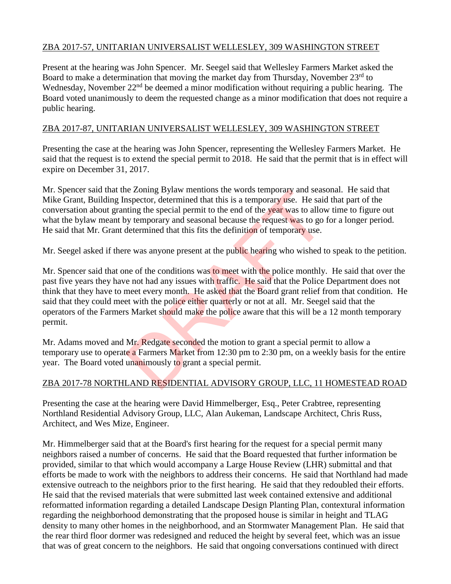## ZBA 2017-57, UNITARIAN UNIVERSALIST WELLESLEY, 309 WASHINGTON STREET

Present at the hearing was John Spencer. Mr. Seegel said that Wellesley Farmers Market asked the Board to make a determination that moving the market day from Thursday, November 23<sup>rd</sup> to Wednesday, November  $22<sup>nd</sup>$  be deemed a minor modification without requiring a public hearing. The Board voted unanimously to deem the requested change as a minor modification that does not require a public hearing.

#### ZBA 2017-87, UNITARIAN UNIVERSALIST WELLESLEY, 309 WASHINGTON STREET

Presenting the case at the hearing was John Spencer, representing the Wellesley Farmers Market. He said that the request is to extend the special permit to 2018. He said that the permit that is in effect will expire on December 31, 2017.

Mr. Spencer said that the Zoning Bylaw mentions the words temporary and seasonal. He said that Mike Grant, Building Inspector, determined that this is a temporary use. He said that part of the conversation about granting the special permit to the end of the year was to allow time to figure out what the bylaw meant by temporary and seasonal because the request was to go for a longer period. He said that Mr. Grant determined that this fits the definition of temporary use.

Mr. Seegel asked if there was anyone present at the public hearing who wished to speak to the petition.

Mr. Spencer said that one of the conditions was to meet with the police monthly. He said that over the past five years they have not had any issues with traffic. He said that the Police Department does not think that they have to meet every month. He asked that the Board grant relief from that condition. He said that they could meet with the police either quarterly or not at all. Mr. Seegel said that the operators of the Farmers Market should make the police aware that this will be a 12 month temporary permit. e Zoning Bylaw mentions the words temporary and seas aspector, determined that this is a temporary use. He said<br>ting the special permit to the end of the year was to allow<br>y temporary and seasonal because the request was t

Mr. Adams moved and Mr. Redgate seconded the motion to grant a special permit to allow a temporary use to operate a Farmers Market from 12:30 pm to 2:30 pm, on a weekly basis for the entire year. The Board voted unanimously to grant a special permit.

# ZBA 2017-78 NORTHLAND RESIDENTIAL ADVISORY GROUP, LLC, 11 HOMESTEAD ROAD

Presenting the case at the hearing were David Himmelberger, Esq., Peter Crabtree, representing Northland Residential Advisory Group, LLC, Alan Aukeman, Landscape Architect, Chris Russ, Architect, and Wes Mize, Engineer.

Mr. Himmelberger said that at the Board's first hearing for the request for a special permit many neighbors raised a number of concerns. He said that the Board requested that further information be provided, similar to that which would accompany a Large House Review (LHR) submittal and that efforts be made to work with the neighbors to address their concerns. He said that Northland had made extensive outreach to the neighbors prior to the first hearing. He said that they redoubled their efforts. He said that the revised materials that were submitted last week contained extensive and additional reformatted information regarding a detailed Landscape Design Planting Plan, contextural information regarding the neighborhood demonstrating that the proposed house is similar in height and TLAG density to many other homes in the neighborhood, and an Stormwater Management Plan. He said that the rear third floor dormer was redesigned and reduced the height by several feet, which was an issue that was of great concern to the neighbors. He said that ongoing conversations continued with direct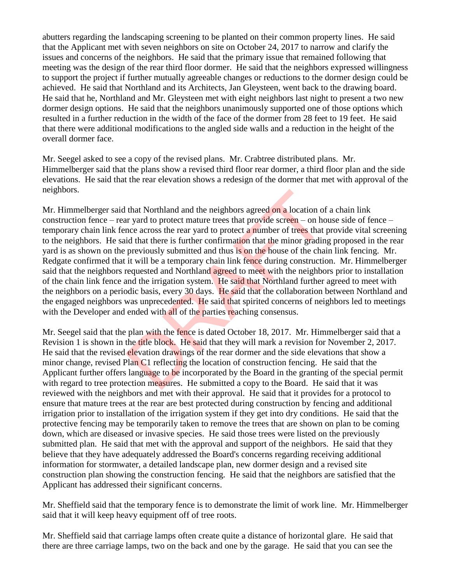abutters regarding the landscaping screening to be planted on their common property lines. He said that the Applicant met with seven neighbors on site on October 24, 2017 to narrow and clarify the issues and concerns of the neighbors. He said that the primary issue that remained following that meeting was the design of the rear third floor dormer. He said that the neighbors expressed willingness to support the project if further mutually agreeable changes or reductions to the dormer design could be achieved. He said that Northland and its Architects, Jan Gleysteen, went back to the drawing board. He said that he, Northland and Mr. Gleysteen met with eight neighbors last night to present a two new dormer design options. He said that the neighbors unanimously supported one of those options which resulted in a further reduction in the width of the face of the dormer from 28 feet to 19 feet. He said that there were additional modifications to the angled side walls and a reduction in the height of the overall dormer face.

Mr. Seegel asked to see a copy of the revised plans. Mr. Crabtree distributed plans. Mr. Himmelberger said that the plans show a revised third floor rear dormer, a third floor plan and the side elevations. He said that the rear elevation shows a redesign of the dormer that met with approval of the neighbors.

Mr. Himmelberger said that Northland and the neighbors agreed on a location of a chain link construction fence – rear yard to protect mature trees that provide screen – on house side of fence – temporary chain link fence across the rear yard to protect a number of trees that provide vital screening to the neighbors. He said that there is further confirmation that the minor grading proposed in the rear yard is as shown on the previously submitted and thus is on the house of the chain link fencing. Mr. Redgate confirmed that it will be a temporary chain link fence during construction. Mr. Himmelberger said that the neighbors requested and Northland agreed to meet with the neighbors prior to installation of the chain link fence and the irrigation system. He said that Northland further agreed to meet with the neighbors on a periodic basis, every 30 days. He said that the collaboration between Northland and the engaged neighbors was unprecedented. He said that spirited concerns of neighbors led to meetings with the Developer and ended with all of the parties reaching consensus. that Northland and the neighbors agreed on a location of<br>the vyard to protect mature trees that provide screen – on hc<br>nee across the rear yard to protect a number of trees that<br>id that there is further confirmation that t

Mr. Seegel said that the plan with the fence is dated October 18, 2017. Mr. Himmelberger said that a Revision 1 is shown in the title block. He said that they will mark a revision for November 2, 2017. He said that the revised elevation drawings of the rear dormer and the side elevations that show a minor change, revised Plan C1 reflecting the location of construction fencing. He said that the Applicant further offers language to be incorporated by the Board in the granting of the special permit with regard to tree protection measures. He submitted a copy to the Board. He said that it was reviewed with the neighbors and met with their approval. He said that it provides for a protocol to ensure that mature trees at the rear are best protected during construction by fencing and additional irrigation prior to installation of the irrigation system if they get into dry conditions. He said that the protective fencing may be temporarily taken to remove the trees that are shown on plan to be coming down, which are diseased or invasive species. He said those trees were listed on the previously submitted plan. He said that met with the approval and support of the neighbors. He said that they believe that they have adequately addressed the Board's concerns regarding receiving additional information for stormwater, a detailed landscape plan, new dormer design and a revised site construction plan showing the construction fencing. He said that the neighbors are satisfied that the Applicant has addressed their significant concerns.

Mr. Sheffield said that the temporary fence is to demonstrate the limit of work line. Mr. Himmelberger said that it will keep heavy equipment off of tree roots.

Mr. Sheffield said that carriage lamps often create quite a distance of horizontal glare. He said that there are three carriage lamps, two on the back and one by the garage. He said that you can see the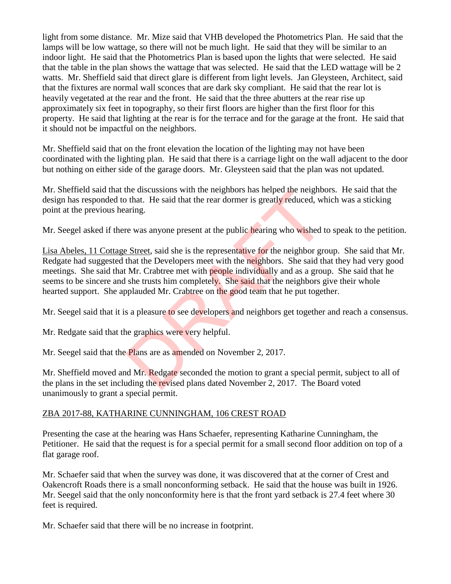light from some distance. Mr. Mize said that VHB developed the Photometrics Plan. He said that the lamps will be low wattage, so there will not be much light. He said that they will be similar to an indoor light. He said that the Photometrics Plan is based upon the lights that were selected. He said that the table in the plan shows the wattage that was selected. He said that the LED wattage will be 2 watts. Mr. Sheffield said that direct glare is different from light levels. Jan Gleysteen, Architect, said that the fixtures are normal wall sconces that are dark sky compliant. He said that the rear lot is heavily vegetated at the rear and the front. He said that the three abutters at the rear rise up approximately six feet in topography, so their first floors are higher than the first floor for this property. He said that lighting at the rear is for the terrace and for the garage at the front. He said that it should not be impactful on the neighbors.

Mr. Sheffield said that on the front elevation the location of the lighting may not have been coordinated with the lighting plan. He said that there is a carriage light on the wall adjacent to the door but nothing on either side of the garage doors. Mr. Gleysteen said that the plan was not updated.

Mr. Sheffield said that the discussions with the neighbors has helped the neighbors. He said that the design has responded to that. He said that the rear dormer is greatly reduced, which was a sticking point at the previous hearing.

Mr. Seegel asked if there was anyone present at the public hearing who wished to speak to the petition.

Lisa Abeles, 11 Cottage Street, said she is the representative for the neighbor group. She said that Mr. Redgate had suggested that the Developers meet with the neighbors. She said that they had very good meetings. She said that Mr. Crabtree met with **people** individually and as a group. She said that he seems to be sincere and she trusts him completely. She said that the neighbors give their whole hearted support. She applauded Mr. Crabtree on the good team that he put together. the discussions with the neighbors has helped the helphotom.<br>
The said that the rear dormer is greatly reduced, where<br>
aring.<br>
The was anyone present at the public hearing who wished the Street, said she is the representat

Mr. Seegel said that it is a pleasure to see developers and neighbors get together and reach a consensus.

Mr. Redgate said that the graphics were very helpful.

Mr. Seegel said that the Plans are as amended on November 2, 2017.

Mr. Sheffield moved and Mr. Redgate seconded the motion to grant a special permit, subject to all of the plans in the set including the revised plans dated November 2, 2017. The Board voted unanimously to grant a special permit.

#### ZBA 2017-88, KATHARINE CUNNINGHAM, 106 CREST ROAD

Presenting the case at the hearing was Hans Schaefer, representing Katharine Cunningham, the Petitioner. He said that the request is for a special permit for a small second floor addition on top of a flat garage roof.

Mr. Schaefer said that when the survey was done, it was discovered that at the corner of Crest and Oakencroft Roads there is a small nonconforming setback. He said that the house was built in 1926. Mr. Seegel said that the only nonconformity here is that the front yard setback is 27.4 feet where 30 feet is required.

Mr. Schaefer said that there will be no increase in footprint.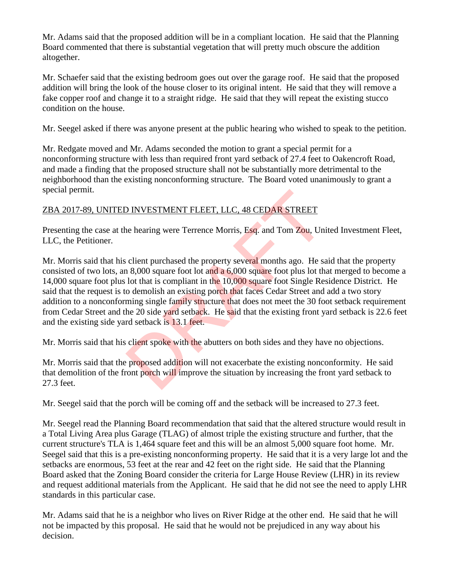Mr. Adams said that the proposed addition will be in a compliant location. He said that the Planning Board commented that there is substantial vegetation that will pretty much obscure the addition altogether.

Mr. Schaefer said that the existing bedroom goes out over the garage roof. He said that the proposed addition will bring the look of the house closer to its original intent. He said that they will remove a fake copper roof and change it to a straight ridge. He said that they will repeat the existing stucco condition on the house.

Mr. Seegel asked if there was anyone present at the public hearing who wished to speak to the petition.

Mr. Redgate moved and Mr. Adams seconded the motion to grant a special permit for a nonconforming structure with less than required front yard setback of 27.4 feet to Oakencroft Road, and made a finding that the proposed structure shall not be substantially more detrimental to the neighborhood than the existing nonconforming structure. The Board voted unanimously to grant a special permit.

## ZBA 2017-89, UNITED INVESTMENT FLEET, LLC, 48 CEDAR STREET

Presenting the case at the hearing were Terrence Morris, Esq. and Tom Zou, United Investment Fleet, LLC, the Petitioner.

Mr. Morris said that his client purchased the property several months ago. He said that the property consisted of two lots, an 8,000 square foot lot and a 6,000 square foot plus lot that merged to become a 14,000 square foot plus lot that is compliant in the 10,000 square foot Single Residence District. He said that the request is to demolish an existing porch that faces Cedar Street and add a two story addition to a nonconforming single family structure that does not meet the 30 foot setback requirement from Cedar Street and the 20 side yard setback. He said that the existing front yard setback is 22.6 feet and the existing side yard setback is 13.1 feet. D INVESTMENT FLEET, LLC, 48 CEDAR STREET<br>ne hearing were Terrence Morris, Esq. and Tom Zou, Uni<br>client purchased the property several months ago. He sa<br>n 8,000 square foot lot and a 6,000 square foot plus lot th<br>lot that i

Mr. Morris said that his client spoke with the abutters on both sides and they have no objections.

Mr. Morris said that the proposed addition will not exacerbate the existing nonconformity. He said that demolition of the front porch will improve the situation by increasing the front yard setback to 27.3 feet.

Mr. Seegel said that the porch will be coming off and the setback will be increased to 27.3 feet.

Mr. Seegel read the Planning Board recommendation that said that the altered structure would result in a Total Living Area plus Garage (TLAG) of almost triple the existing structure and further, that the current structure's TLA is 1,464 square feet and this will be an almost 5,000 square foot home. Mr. Seegel said that this is a pre-existing nonconforming property. He said that it is a very large lot and the setbacks are enormous, 53 feet at the rear and 42 feet on the right side. He said that the Planning Board asked that the Zoning Board consider the criteria for Large House Review (LHR) in its review and request additional materials from the Applicant. He said that he did not see the need to apply LHR standards in this particular case.

Mr. Adams said that he is a neighbor who lives on River Ridge at the other end. He said that he will not be impacted by this proposal. He said that he would not be prejudiced in any way about his decision.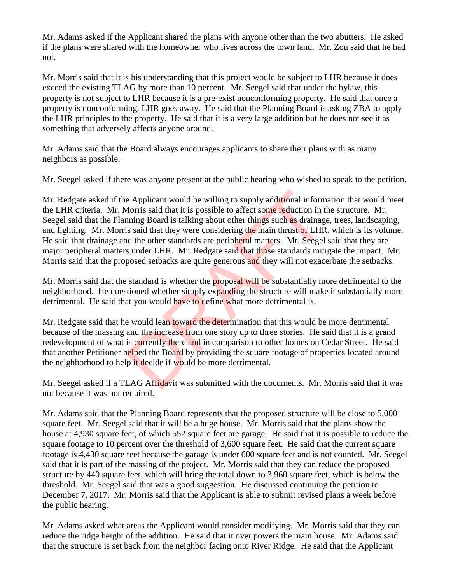Mr. Adams asked if the Applicant shared the plans with anyone other than the two abutters. He asked if the plans were shared with the homeowner who lives across the town land. Mr. Zou said that he had not.

Mr. Morris said that it is his understanding that this project would be subject to LHR because it does exceed the existing TLAG by more than 10 percent. Mr. Seegel said that under the bylaw, this property is not subject to LHR because it is a pre-exist nonconforming property. He said that once a property is nonconforming, LHR goes away. He said that the Planning Board is asking ZBA to apply the LHR principles to the property. He said that it is a very large addition but he does not see it as something that adversely affects anyone around.

Mr. Adams said that the Board always encourages applicants to share their plans with as many neighbors as possible.

Mr. Seegel asked if there was anyone present at the public hearing who wished to speak to the petition.

Mr. Redgate asked if the Applicant would be willing to supply additional information that would meet the LHR criteria. Mr. Morris said that it is possible to affect some reduction in the structure. Mr. Seegel said that the Planning Board is talking about other things such as drainage, trees, landscaping, and lighting. Mr. Morris said that they were considering the main thrust of LHR, which is its volume. He said that drainage and the other standards are peripheral matters. Mr. Seegel said that they are major peripheral matters under LHR. Mr. Redgate said that those standards mitigate the impact. Mr. Morris said that the proposed setbacks are quite generous and they will not exacerbate the setbacks. e Applicant would be willing to supply additional inform<br>Morris said that it is possible to affect some reduction in t<br>mining Board is talking about other things such as drainag<br>is said that they were considering the main

Mr. Morris said that the standard is whether the **proposal will** be substantially more detrimental to the neighborhood. He questioned whether simply expanding the structure will make it substantially more detrimental. He said that you would have to define what more detrimental is.

Mr. Redgate said that he would lean toward the determination that this would be more detrimental because of the massing and the increase from one story up to three stories. He said that it is a grand redevelopment of what is currently there and in comparison to other homes on Cedar Street. He said that another Petitioner helped the Board by providing the square footage of properties located around the neighborhood to help it decide if would be more detrimental.

Mr. Seegel asked if a TLAG Affidavit was submitted with the documents. Mr. Morris said that it was not because it was not required.

Mr. Adams said that the Planning Board represents that the proposed structure will be close to 5,000 square feet. Mr. Seegel said that it will be a huge house. Mr. Morris said that the plans show the house at 4,930 square feet, of which 552 square feet are garage. He said that it is possible to reduce the square footage to 10 percent over the threshold of 3,600 square feet. He said that the current square footage is 4,430 square feet because the garage is under 600 square feet and is not counted. Mr. Seegel said that it is part of the massing of the project. Mr. Morris said that they can reduce the proposed structure by 440 square feet, which will bring the total down to 3,960 square feet, which is below the threshold. Mr. Seegel said that was a good suggestion. He discussed continuing the petition to December 7, 2017. Mr. Morris said that the Applicant is able to submit revised plans a week before the public hearing.

Mr. Adams asked what areas the Applicant would consider modifying. Mr. Morris said that they can reduce the ridge height of the addition. He said that it over powers the main house. Mr. Adams said that the structure is set back from the neighbor facing onto River Ridge. He said that the Applicant